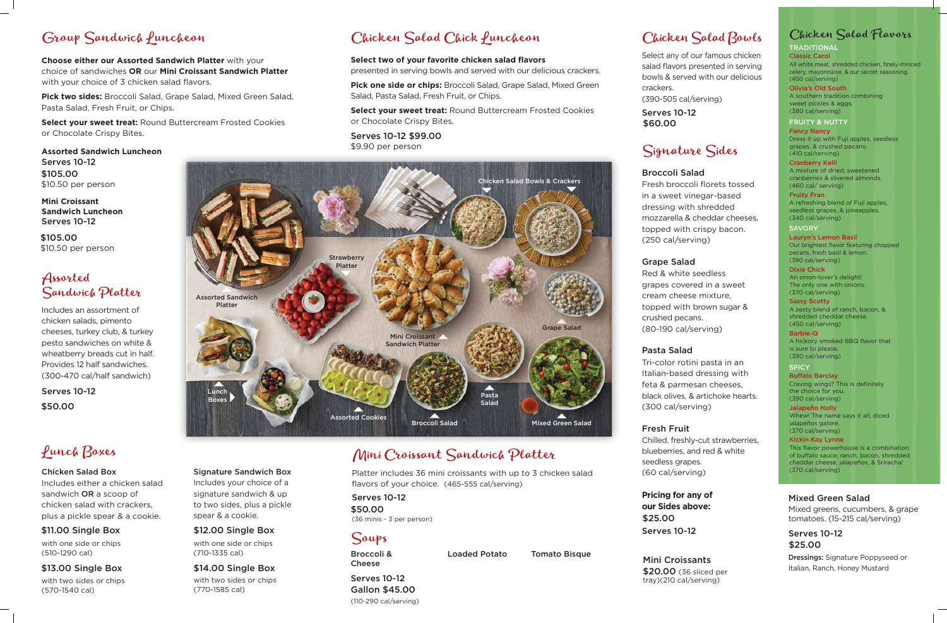

# Group Sandwich Puncheon

**Choose either our Assorted Sandwich Platter** with your choice of sandwiches **OR** our **Mini Croissant Sandwich Platter**  with your choice of 3 chicken salad flavors.

**Pick two sides:** Broccoli Salad, Grape Salad, Mixed Green Salad, Pasta Salad, Fresh Fruit, or Chips.

**Select your sweet treat:** Round Buttercream Frosted Cookies or Chocolate Crispy Bites.

## Assorted Sandwich Platter

Platter includes 36 mini croissants with up to 3 chicken salad flavors of your choice. (465-555 cal/serving)

# Soups

Broccoli & Loaded Potato Tomato Bisque

Cheese

Serves 10-12

(110-290 cal/serving)

Signature Sandwich Box Includes your choice of a signature sandwich & up to two sides, plus a pickle spear & a cookie.

with one side or chips (710-1335 cal)

with two sides or chips (770-1585 cal)

## Mini Croissant Sandwich Platter

**Mini Croissant Sandwich Luncheon** Serves 10-12

Includes an assortment of chicken salads, pimento cheeses, turkey club, & turkey pesto sandwiches on white & wheatberry breads cut in half. Provides 12 half sandwiches. (300-470 cal/half sandwich)

**TRADITIONAL** Classic Carol All white meat, shredded chicken, finely-minced celery, mayonnaise, & our secret seasoning. (400 cal/serving)

# Lunch Boxes

## Chicken Salad Box

Includes either a chicken salad sandwich OR a scoop of chicken salad with crackers, plus a pickle spear & a cookie.

with one side or chips (510-1290 cal)

**SAVORY** Lauryn's Lemon Basil Our brightest flavor featuring chopped pecans, fresh basil & lemon. (390 cal/serving)

with two sides or chips (570-1540 cal)

## Chicken Salad Bowls

Select any of our famous chicken salad flavors presented in serving bowls & served with our delicious crackers. (390-505 cal/serving)

> **SPICY Buffalo Barclay** Craving wings? This is definitely the choice for you. (390 cal/serving)

# Signature Sides

Broccoli Salad Fresh broccoli florets tossed in a sweet vinegar-based dressing with shredded mozzarella & cheddar cheeses, topped with crispy bacon. (250 cal/serving)

Grape Salad

Red & white seedless grapes covered in a sweet cream cheese mixture, topped with brown sugar & crushed pecans. (80-190 cal/serving)

Pasta Salad

Tri-color rotini pasta in an Italian-based dressing with feta & parmesan cheeses, black olives, & artichoke hearts. (300 cal/serving)

## Fresh Fruit

Chilled, freshly-cut strawberries, blueberries, and red & white seedless grapes. (60 cal/serving)

## Chicken Salad Flavors

Serves 10-12 (36 minis - 3 per person) \$50.00

Olivia's Old South A southern tradition combining sweet pickles & eggs. (380 cal/serving)

**Assorted Sandwich Luncheon** Serves 10-12 \$105.00 \$10.50 per person

#### FRUITY & NUTTY

Fancy Nancy Dress it up with Fuji apples, seedless grapes, & crushed pecans. (410 cal/serving)

Serves 10-12 \$50.00

Cranberry Kelli A mixture of dried, sweetened cranberries & slivered almonds. (460 cal/ serving)

Fruity Fran A refreshing blend of Fuji apples, seedless grapes, & pineapples. (340 cal/serving)

Serves 10-12 \$60.00

> Dixie Chick An onion-lover's delight! The only one with onions. (370 cal/serving)

Sassy Scotty A zesty blend of ranch, bacon, & shredded cheddar cheese. (450 cal/serving)

Barbie-Q A hickory smoked BBQ flavor that is sure to please. (390 cal/serving)

**Pricing for any of our Sides above:** Serves 10-12 \$25.00

Jalapeño Holly Whew! The name says it all, diced ialapeños galore. (370 cal/serving)

Kickin Kay Lynne This flavor powerhouse is a combination of buffalo sauce, ranch, bacon, shredded cheddar cheese, jalapeños, & Sriracha! (370 cal/serving)

## Mixed Green Salad

Mixed greens, cucumbers, & grape tomatoes. (15-215 cal/serving)

Dressings: Signature Poppyseed or Italian, Ranch, Honey Mustard

# Chicken Salad Chick Luncheon

## **Select two of your favorite chicken salad flavors**

presented in serving bowls and served with our delicious crackers.

**Pick one side or chips:** Broccoli Salad, Grape Salad, Mixed Green Salad, Pasta Salad, Fresh Fruit, or Chips.

> Serves 10-12 \$25.00

**Select your sweet treat:** Round Buttercream Frosted Cookies or Chocolate Crispy Bites.

## \$11.00 Single Box

## \$13.00 Single Box

## \$12.00 Single Box

## \$14.00 Single Box

Serves 10-12 \$99.00 \$9.90 per person

Gallon \$45.00

Mini Croissants \$20.00 (36 sliced per tray)(210 cal/serving)

\$105.00 \$10.50 per person